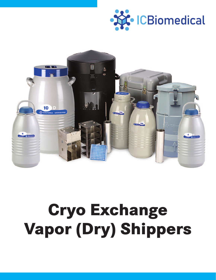



# **Communist Communist Communist Communist Communist Communist Communist Communist Communist Communist Communist Communist Communist Communist Communist Communist Communist Communist Commu<br>Communist Communist Communist Commu Vapor (Dry) Shippers**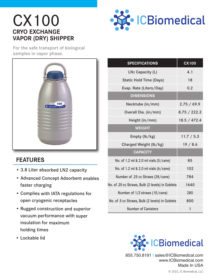## CX100 **CRYO EXCHANGE VAPOR (DRY) SHIPPER**



For the safe transport of biological samples in vapor phase.



#### **FEATURES**

- 3.8 Liter absorbed LN2 capacity
- Advanced Concept Adsorbent enables faster charging
- Complies with IATA regulations for open cryogenic receptacles
- Rugged construction and superior vacuum performance with super insulation for maximum holding times
- Lockable lid

| <b>SPECIFICATIONS</b>                            | <b>CX100</b> |
|--------------------------------------------------|--------------|
| LN <sub>2</sub> Capacity (L)                     | 4.1          |
| <b>Static Hold Time (Days)</b>                   | 18           |
| Evap. Rate (Liters/Day)                          | 0.2          |
| <b>DIMENSIONS</b>                                |              |
| Necktube (in/mm)                                 | 2.75 / 69.9  |
| Overall Dia. (in/mm)                             | 8.75 / 222.3 |
| Height (in/mm)                                   | 18.5 / 472.4 |
| <b>WEIGHT</b>                                    |              |
| Empty (lb/kg)                                    | 11.7 / 5.3   |
| Charged Weight (lb/kg)                           | 19/8.6       |
| <b>CAPACITY</b>                                  |              |
| No. of 1.2 ml & 2.0 ml vials (5/cane)            | 85           |
| No. of 1.2 ml & 2.0 ml vials (6/cane)            | 102          |
| Number of .25 cc Straws (28/cane)                | 784          |
| No. of .25 cc Straws, Bulk (2 levels) in Goblets | 1640         |
| Number of 1/2 straws (10/cane)                   | 280          |
| No. of .5 cc Straws, Bulk (2 levels) in Goblets  | 800          |
| <b>Number of Canisters</b>                       | 1            |



855.750.8191 | sales@ICBiomedical.com www.ICBiomedical.com Made In USA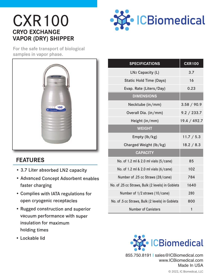# CXR100 **CRYO EXCHANGE VAPOR (DRY) SHIPPER**



For the safe transport of biological samples in vapor phase.



#### **FEATURES**

- 3.7 Liter absorbed LN2 capacity
- Advanced Concept Adsorbent enables faster charging
- Complies with IATA regulations for open cryogenic receptacles
- Rugged construction and superior vacuum performance with super insulation for maximum holding times
- Lockable lid

| <b>SPECIFICATIONS</b>                            | <b>CXR100</b> |
|--------------------------------------------------|---------------|
| LN <sub>2</sub> Capacity (L)                     | 3.7           |
| <b>Static Hold Time (Days)</b>                   | 16            |
| Evap. Rate (Liters/Day)                          | 0.23          |
| <b>DIMENSIONS</b>                                |               |
| Necktube (in/mm)                                 | 3.58 / 90.9   |
| Overall Dia. (in/mm)                             | 9.2 / 233.7   |
| Height (in/mm)                                   | 19.4 / 492.7  |
| <b>WEIGHT</b>                                    |               |
| Empty (lb/kg)                                    | 11.7 / 5.3    |
| Charged Weight (lb/kg)                           | 18.2 / 8.3    |
| <b>CAPACITY</b>                                  |               |
| No. of 1.2 ml & 2.0 ml vials (5/cane)            | 85            |
| No. of 1.2 ml & 2.0 ml vials (6/cane)            | 102           |
| Number of .25 cc Straws (28/cane)                | 784           |
| No. of .25 cc Straws, Bulk (2 levels) in Goblets | 1640          |
| Number of 1/2 straws (10/cane)                   | 280           |
| No. of .5 cc Straws, Bulk (2 levels) in Goblets  | 800           |
| <b>Number of Canisters</b>                       | 1             |



© 2022, IC Biomedical, LLC 855.750.8191 | sales@ICBiomedical.com www.ICBiomedical.com Made In USA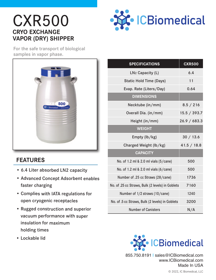# CXR500 **CRYO EXCHANGE VAPOR (DRY) SHIPPER**



For the safe transport of biological samples in vapor phase.



#### **FEATURES**

- 6.4 Liter absorbed LN2 capacity
- Advanced Concept Adsorbent enables faster charging
- Complies with IATA regulations for open cryogenic receptacles
- Rugged construction and superior vacuum performance with super insulation for maximum holding times
- Lockable lid

| <b>SPECIFICATIONS</b>                            | <b>CXR500</b> |
|--------------------------------------------------|---------------|
| LN <sub>2</sub> Capacity (L)                     | 6.4           |
| <b>Static Hold Time (Days)</b>                   | 11            |
| Evap. Rate (Liters/Day)                          | 0.64          |
| <b>DIMENSIONS</b>                                |               |
| Necktube (in/mm)                                 | 8.5 / 216     |
| Overall Dia. (in/mm)                             | 15.5 / 393.7  |
| Height (in/mm)                                   | 26.9 / 683.3  |
| <b>WEIGHT</b>                                    |               |
| Empty (lb/kg)                                    | 30 / 13.6     |
| Charged Weight (lb/kg)                           | 41.5 / 18.8   |
| <b>CAPACITY</b>                                  |               |
| No. of 1.2 ml & 2.0 ml vials (5/cane)            | 500           |
| No. of 1.2 ml & 2.0 ml vials (6/cane)            | 500           |
| Number of .25 cc Straws (28/cane)                | 1736          |
| No. of .25 cc Straws, Bulk (2 levels) in Goblets | 7160          |
| Number of 1/2 straws (10/cane)                   | 1240          |
| No. of .5 cc Straws, Bulk (2 levels) in Goblets  | 3200          |
| <b>Number of Canisters</b>                       | N/A           |



© 2022, IC Biomedical, LLC 855.750.8191 | sales@ICBiomedical.com www.ICBiomedical.com Made In USA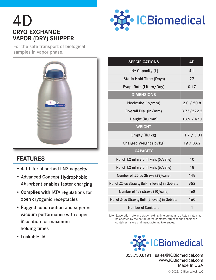# 4D **CRYO EXCHANGE VAPOR (DRY) SHIPPER**



For the safe transport of biological samples in vapor phase.



### **FEATURES**

- 4.1 Liter absorbed LN2 capacity
- Advanced Concept Hydrophobic Absorbent enables faster charging
- Complies with IATA regulations for open cryogenic receptacles
- Rugged construction and superior vacuum performance with super insulation for maximum holding times
- Lockable lid

| <b>SPECIFICATIONS</b>                            | 4D          |
|--------------------------------------------------|-------------|
| LN <sub>2</sub> Capacity (L)                     | 4.1         |
| <b>Static Hold Time (Days)</b>                   | 27          |
| Evap. Rate (Liters/Day)                          | 0.17        |
| <b>DIMENSIONS</b>                                |             |
| Necktube (in/mm)                                 | 2.0 / 50.8  |
| Overall Dia. (in/mm)                             | 8.75/222.2  |
| Height (in/mm)                                   | 18.5 / 470  |
| <b>WEIGHT</b>                                    |             |
| Empty (lb/kg)                                    | 11.7 / 5.31 |
| Charged Weight (lb/kg)                           | 19/8.62     |
| <b>CAPACITY</b>                                  |             |
| No. of 1.2 ml & 2.0 ml vials (5/cane)            | 40          |
| No. of 1.2 ml & 2.0 ml vials (6/cane)            | 48          |
| Number of .25 cc Straws (28/cane)                | 448         |
| No. of .25 cc Straws, Bulk (2 levels) in Goblets | 952         |
| Number of 1/2 straws (10/cane)                   | 160         |
| No. of .5 cc Straws, Bulk (2 levels) in Goblets  | 460         |
| <b>Number of Canisters</b>                       | 1           |

Note: Evaporation rate and static holding time are nominal. Actual rate may be affected by the nature of the contents, atmospheric conditions, container history and manufacturing tolerances.



855.750.8191 | sales@ICBiomedical.com www.ICBiomedical.com Made In USA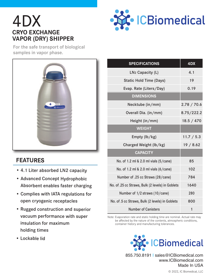## 4DX **CRYO EXCHANGE VAPOR (DRY) SHIPPER**



For the safe transport of biological samples in vapor phase.



#### **FEATURES**

- 4.1 Liter absorbed LN2 capacity
- Advanced Concept Hydrophobic Absorbent enables faster charging
- Complies with IATA regulations for open cryogenic receptacles
- Rugged construction and superior vacuum performance with super insulation for maximum holding times
- Lockable lid

| <b>SPECIFICATIONS</b>                            | 4DX         |
|--------------------------------------------------|-------------|
| LN <sub>2</sub> Capacity (L)                     | 4.1         |
| <b>Static Hold Time (Days)</b>                   | 19          |
| Evap. Rate (Liters/Day)                          | 0.19        |
| <b>DIMENSIONS</b>                                |             |
| Necktube (in/mm)                                 | 2.78 / 70.6 |
| Overall Dia. (in/mm)                             | 8.75/222.2  |
| Height (in/mm)                                   | 18.5 / 470  |
| <b>WEIGHT</b>                                    |             |
| Empty (lb/kg)                                    | 11.7 / 5.3  |
| Charged Weight (lb/kg)                           | 19/8.62     |
| <b>CAPACITY</b>                                  |             |
| No. of 1.2 ml & 2.0 ml vials (5/cane)            | 85          |
| No. of 1.2 ml & 2.0 ml vials (6/cane)            | 102         |
| Number of .25 cc Straws (28/cane)                | 784         |
| No. of .25 cc Straws, Bulk (2 levels) in Goblets | 1640        |
| Number of 1/2 straws (10/cane)                   | 280         |
| No. of .5 cc Straws, Bulk (2 levels) in Goblets  | 800         |
| <b>Number of Canisters</b>                       | 1           |

Note: Evaporation rate and static holding time are nominal. Actual rate may be affected by the nature of the contents, atmospheric conditions, container history and manufacturing tolerances.



855.750.8191 | sales@ICBiomedical.com www.ICBiomedical.com Made In USA